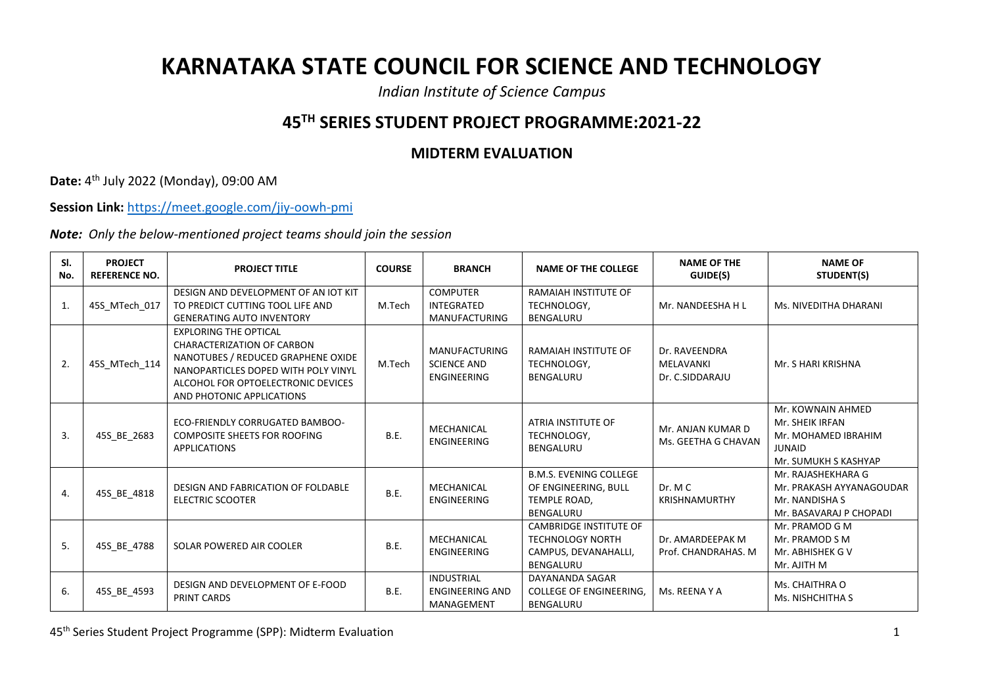## **KARNATAKA STATE COUNCIL FOR SCIENCE AND TECHNOLOGY**

*Indian Institute of Science Campus*

## **45TH SERIES STUDENT PROJECT PROGRAMME:2021-22**

## **MIDTERM EVALUATION**

**Date:** 4 th July 2022 (Monday), 09:00 AM

**Session Link:** <https://meet.google.com/jiy-oowh-pmi>

*Note: Only the below-mentioned project teams should join the session*

| SI.<br>No. | <b>PROJECT</b><br><b>REFERENCE NO.</b> | <b>PROJECT TITLE</b>                                                                                                                                                                                              | <b>COURSE</b> | <b>BRANCH</b>                                                    | <b>NAME OF THE COLLEGE</b>                                                                    | <b>NAME OF THE</b><br>GUIDE(S)                | <b>NAME OF</b><br>STUDENT(S)                                                                         |
|------------|----------------------------------------|-------------------------------------------------------------------------------------------------------------------------------------------------------------------------------------------------------------------|---------------|------------------------------------------------------------------|-----------------------------------------------------------------------------------------------|-----------------------------------------------|------------------------------------------------------------------------------------------------------|
| 1.         | 45S_MTech_017                          | DESIGN AND DEVELOPMENT OF AN IOT KIT<br>TO PREDICT CUTTING TOOL LIFE AND<br><b>GENERATING AUTO INVENTORY</b>                                                                                                      | M.Tech        | <b>COMPUTER</b><br><b>INTEGRATED</b><br><b>MANUFACTURING</b>     | RAMAIAH INSTITUTE OF<br>TECHNOLOGY,<br><b>BENGALURU</b>                                       | Mr. NANDEESHA H L                             | Ms. NIVEDITHA DHARANI                                                                                |
| 2.         | 45S_MTech_114                          | <b>EXPLORING THE OPTICAL</b><br><b>CHARACTERIZATION OF CARBON</b><br>NANOTUBES / REDUCED GRAPHENE OXIDE<br>NANOPARTICLES DOPED WITH POLY VINYL<br>ALCOHOL FOR OPTOELECTRONIC DEVICES<br>AND PHOTONIC APPLICATIONS | M.Tech        | <b>MANUFACTURING</b><br><b>SCIENCE AND</b><br><b>ENGINEERING</b> | RAMAIAH INSTITUTE OF<br>TECHNOLOGY,<br><b>BENGALURU</b>                                       | Dr. RAVEENDRA<br>MELAVANKI<br>Dr. C.SIDDARAJU | Mr. S HARI KRISHNA                                                                                   |
| 3.         | 45S_BE_2683                            | <b>ECO-FRIENDLY CORRUGATED BAMBOO-</b><br><b>COMPOSITE SHEETS FOR ROOFING</b><br><b>APPLICATIONS</b>                                                                                                              | B.E.          | MECHANICAL<br><b>ENGINEERING</b>                                 | ATRIA INSTITUTE OF<br>TECHNOLOGY,<br><b>BENGALURU</b>                                         | Mr. ANJAN KUMAR D<br>Ms. GEETHA G CHAVAN      | Mr. KOWNAIN AHMED<br>Mr. SHEIK IRFAN<br>Mr. MOHAMED IBRAHIM<br><b>JUNAID</b><br>Mr. SUMUKH S KASHYAP |
| 4.         | 45S_BE_4818                            | DESIGN AND FABRICATION OF FOLDABLE<br><b>ELECTRIC SCOOTER</b>                                                                                                                                                     | <b>B.E.</b>   | MECHANICAL<br><b>ENGINEERING</b>                                 | <b>B.M.S. EVENING COLLEGE</b><br>OF ENGINEERING, BULL<br>TEMPLE ROAD.<br><b>BENGALURU</b>     | Dr. M. C<br><b>KRISHNAMURTHY</b>              | Mr. RAJASHEKHARA G<br>Mr. PRAKASH AYYANAGOUDAR<br>Mr. NANDISHA S<br>Mr. BASAVARAJ P CHOPADI          |
| 5.         | 45S BE 4788                            | SOLAR POWERED AIR COOLER                                                                                                                                                                                          | <b>B.E.</b>   | MECHANICAL<br>ENGINEERING                                        | <b>CAMBRIDGE INSTITUTE OF</b><br><b>TECHNOLOGY NORTH</b><br>CAMPUS, DEVANAHALLI,<br>BENGALURU | Dr. AMARDEEPAK M<br>Prof. CHANDRAHAS. M       | Mr. PRAMOD G M<br>Mr. PRAMOD S M<br>Mr. ABHISHEK G V<br>Mr. AJITH M                                  |
| 6.         | 45S_BE_4593                            | DESIGN AND DEVELOPMENT OF E-FOOD<br>PRINT CARDS                                                                                                                                                                   | B.E.          | <b>INDUSTRIAL</b><br><b>ENGINEERING AND</b><br>MANAGEMENT        | DAYANANDA SAGAR<br><b>COLLEGE OF ENGINEERING,</b><br><b>BENGALURU</b>                         | Ms. REENA Y A                                 | Ms. CHAITHRA O<br>Ms. NISHCHITHA S                                                                   |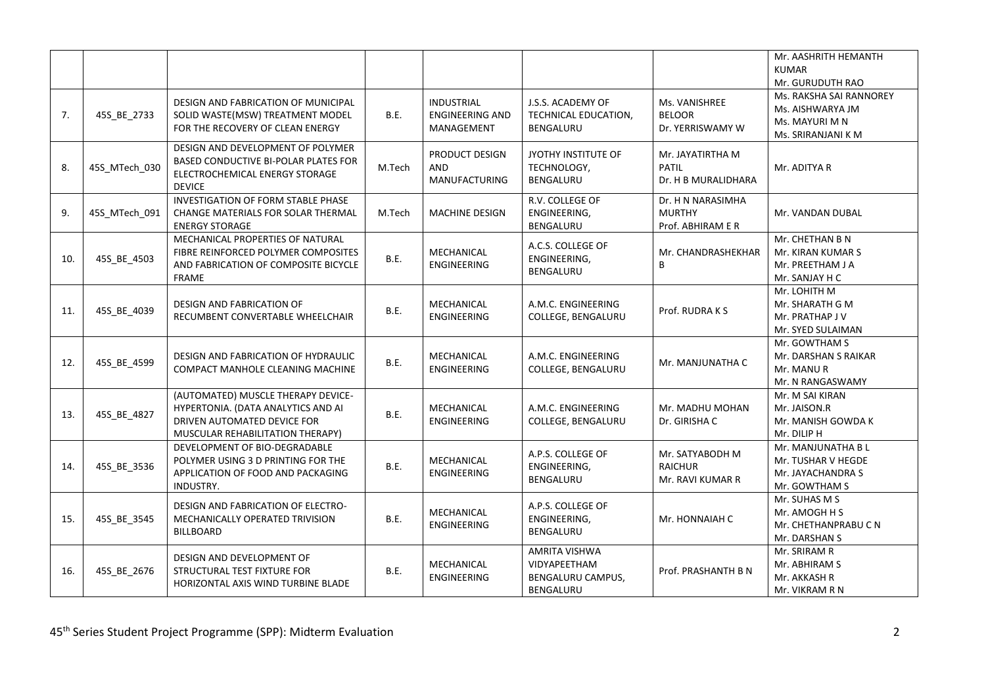|     |               |                                                                                                                                             |             |                                                           |                                                                        |                                                         | Mr. AASHRITH HEMANTH<br><b>KUMAR</b><br>Mr. GURUDUTH RAO                            |
|-----|---------------|---------------------------------------------------------------------------------------------------------------------------------------------|-------------|-----------------------------------------------------------|------------------------------------------------------------------------|---------------------------------------------------------|-------------------------------------------------------------------------------------|
| 7.  | 45S_BE_2733   | DESIGN AND FABRICATION OF MUNICIPAL<br>SOLID WASTE(MSW) TREATMENT MODEL<br>FOR THE RECOVERY OF CLEAN ENERGY                                 | <b>B.E.</b> | <b>INDUSTRIAL</b><br><b>ENGINEERING AND</b><br>MANAGEMENT | J.S.S. ACADEMY OF<br>TECHNICAL EDUCATION,<br>BENGALURU                 | Ms. VANISHREE<br><b>BELOOR</b><br>Dr. YERRISWAMY W      | Ms. RAKSHA SAI RANNOREY<br>Ms. AISHWARYA JM<br>Ms. MAYURI M N<br>Ms. SRIRANJANI K M |
| 8.  | 45S_MTech_030 | DESIGN AND DEVELOPMENT OF POLYMER<br>BASED CONDUCTIVE BI-POLAR PLATES FOR<br>ELECTROCHEMICAL ENERGY STORAGE<br><b>DEVICE</b>                | M.Tech      | PRODUCT DESIGN<br>AND<br><b>MANUFACTURING</b>             | JYOTHY INSTITUTE OF<br>TECHNOLOGY,<br>BENGALURU                        | Mr. JAYATIRTHA M<br><b>PATIL</b><br>Dr. H B MURALIDHARA | Mr. ADITYA R                                                                        |
| 9.  | 45S MTech 091 | INVESTIGATION OF FORM STABLE PHASE<br>CHANGE MATERIALS FOR SOLAR THERMAL<br><b>ENERGY STORAGE</b>                                           | M.Tech      | <b>MACHINE DESIGN</b>                                     | R.V. COLLEGE OF<br>ENGINEERING,<br><b>BENGALURU</b>                    | Dr. H N NARASIMHA<br><b>MURTHY</b><br>Prof. ABHIRAM E R | Mr. VANDAN DUBAL                                                                    |
| 10. | 45S BE 4503   | MECHANICAL PROPERTIES OF NATURAL<br>FIBRE REINFORCED POLYMER COMPOSITES<br>AND FABRICATION OF COMPOSITE BICYCLE<br><b>FRAME</b>             | <b>B.E.</b> | MECHANICAL<br><b>ENGINEERING</b>                          | A.C.S. COLLEGE OF<br>ENGINEERING,<br>BENGALURU                         | Mr. CHANDRASHEKHAR<br>B                                 | Mr. CHETHAN B N<br>Mr. KIRAN KUMAR S<br>Mr. PREETHAM J A<br>Mr. SANJAY H C          |
| 11. | 45S_BE_4039   | DESIGN AND FABRICATION OF<br>RECUMBENT CONVERTABLE WHEELCHAIR                                                                               | B.E.        | MECHANICAL<br><b>ENGINEERING</b>                          | A.M.C. ENGINEERING<br>COLLEGE, BENGALURU                               | Prof. RUDRAKS                                           | Mr. LOHITH M<br>Mr. SHARATH G M<br>Mr. PRATHAP J V<br>Mr. SYED SULAIMAN             |
| 12. | 45S_BE_4599   | DESIGN AND FABRICATION OF HYDRAULIC<br>COMPACT MANHOLE CLEANING MACHINE                                                                     | <b>B.E.</b> | MECHANICAL<br><b>ENGINEERING</b>                          | A.M.C. ENGINEERING<br><b>COLLEGE, BENGALURU</b>                        | Mr. MANJUNATHA C                                        | Mr. GOWTHAM S<br>Mr. DARSHAN S RAIKAR<br>Mr. MANU R<br>Mr. N RANGASWAMY             |
| 13. | 45S BE 4827   | (AUTOMATED) MUSCLE THERAPY DEVICE-<br>HYPERTONIA. (DATA ANALYTICS AND AI<br>DRIVEN AUTOMATED DEVICE FOR<br>MUSCULAR REHABILITATION THERAPY) | B.E.        | MECHANICAL<br><b>ENGINEERING</b>                          | A.M.C. ENGINEERING<br>COLLEGE, BENGALURU                               | Mr. MADHU MOHAN<br>Dr. GIRISHA C                        | Mr. M SAI KIRAN<br>Mr. JAISON.R<br>Mr. MANISH GOWDA K<br>Mr. DILIP H                |
| 14. | 45S_BE_3536   | DEVELOPMENT OF BIO-DEGRADABLE<br>POLYMER USING 3 D PRINTING FOR THE<br>APPLICATION OF FOOD AND PACKAGING<br>INDUSTRY.                       | B.E.        | MECHANICAL<br><b>ENGINEERING</b>                          | A.P.S. COLLEGE OF<br>ENGINEERING,<br>BENGALURU                         | Mr. SATYABODH M<br><b>RAICHUR</b><br>Mr. RAVI KUMAR R   | Mr. MANJUNATHA B L<br>Mr. TUSHAR V HEGDE<br>Mr. JAYACHANDRA S<br>Mr. GOWTHAM S      |
| 15. | 45S_BE_3545   | DESIGN AND FABRICATION OF ELECTRO-<br>MECHANICALLY OPERATED TRIVISION<br><b>BILLBOARD</b>                                                   | B.E.        | MECHANICAL<br><b>ENGINEERING</b>                          | A.P.S. COLLEGE OF<br>ENGINEERING,<br>BENGALURU                         | Mr. HONNAIAH C                                          | Mr. SUHAS M S<br>Mr. AMOGH H S<br>Mr. CHETHANPRABU C N<br>Mr. DARSHAN S             |
| 16. | 45S_BE_2676   | DESIGN AND DEVELOPMENT OF<br>STRUCTURAL TEST FIXTURE FOR<br>HORIZONTAL AXIS WIND TURBINE BLADE                                              | <b>B.E.</b> | MECHANICAL<br><b>ENGINEERING</b>                          | <b>AMRITA VISHWA</b><br>VIDYAPEETHAM<br>BENGALURU CAMPUS,<br>BENGALURU | Prof. PRASHANTH B N                                     | Mr. SRIRAM R<br>Mr. ABHIRAM S<br>Mr. AKKASH R<br>Mr. VIKRAM R N                     |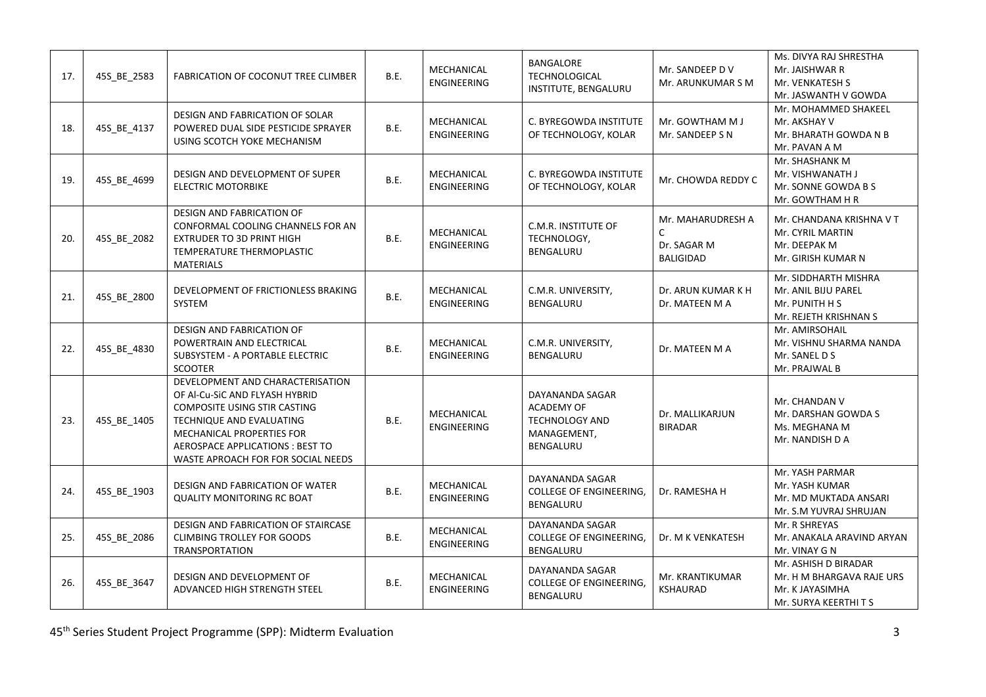| 17. | 45S_BE_2583 | FABRICATION OF COCONUT TREE CLIMBER                                                                                                                                                                                                   | B.E.        | MECHANICAL<br>ENGINEERING        | BANGALORE<br><b>TECHNOLOGICAL</b><br>INSTITUTE, BENGALURU                                 | Mr. SANDEEP DV<br>Mr. ARUNKUMAR S M                       | Ms. DIVYA RAJ SHRESTHA<br>Mr. JAISHWAR R<br>Mr. VENKATESH S<br>Mr. JASWANTH V GOWDA           |
|-----|-------------|---------------------------------------------------------------------------------------------------------------------------------------------------------------------------------------------------------------------------------------|-------------|----------------------------------|-------------------------------------------------------------------------------------------|-----------------------------------------------------------|-----------------------------------------------------------------------------------------------|
| 18. | 45S_BE_4137 | DESIGN AND FABRICATION OF SOLAR<br>POWERED DUAL SIDE PESTICIDE SPRAYER<br>USING SCOTCH YOKE MECHANISM                                                                                                                                 | <b>B.E.</b> | MECHANICAL<br>ENGINEERING        | C. BYREGOWDA INSTITUTE<br>OF TECHNOLOGY, KOLAR                                            | Mr. GOWTHAM M J<br>Mr. SANDEEP S N                        | Mr. MOHAMMED SHAKEEL<br>Mr. AKSHAY V<br>Mr. BHARATH GOWDA N B<br>Mr. PAVAN A M                |
| 19. | 45S BE 4699 | DESIGN AND DEVELOPMENT OF SUPER<br><b>ELECTRIC MOTORBIKE</b>                                                                                                                                                                          | B.E.        | MECHANICAL<br><b>ENGINEERING</b> | C. BYREGOWDA INSTITUTE<br>OF TECHNOLOGY, KOLAR                                            | Mr. CHOWDA REDDY C                                        | Mr. SHASHANK M<br>Mr. VISHWANATH J<br>Mr. SONNE GOWDA B S<br>Mr. GOWTHAM H R                  |
| 20. | 45S_BE_2082 | DESIGN AND FABRICATION OF<br>CONFORMAL COOLING CHANNELS FOR AN<br><b>EXTRUDER TO 3D PRINT HIGH</b><br>TEMPERATURE THERMOPLASTIC<br><b>MATERIALS</b>                                                                                   | B.E.        | MECHANICAL<br><b>ENGINEERING</b> | C.M.R. INSTITUTE OF<br>TECHNOLOGY,<br>BENGALURU                                           | Mr. MAHARUDRESH A<br>C<br>Dr. SAGAR M<br><b>BALIGIDAD</b> | Mr. CHANDANA KRISHNA V T<br>Mr. CYRIL MARTIN<br>Mr. DEEPAK M<br>Mr. GIRISH KUMAR N            |
| 21. | 45S_BE_2800 | DEVELOPMENT OF FRICTIONLESS BRAKING<br>SYSTEM                                                                                                                                                                                         | <b>B.E.</b> | MECHANICAL<br>ENGINEERING        | C.M.R. UNIVERSITY,<br>BENGALURU                                                           | Dr. ARUN KUMAR K H<br>Dr. MATEEN M A                      | Mr. SIDDHARTH MISHRA<br>Mr. ANIL BIJU PAREL<br>Mr. PUNITH H S<br>Mr. REJETH KRISHNAN S        |
| 22. | 45S_BE_4830 | DESIGN AND FABRICATION OF<br>POWERTRAIN AND ELECTRICAL<br>SUBSYSTEM - A PORTABLE ELECTRIC<br><b>SCOOTER</b>                                                                                                                           | <b>B.E.</b> | MECHANICAL<br>ENGINEERING        | C.M.R. UNIVERSITY,<br>BENGALURU                                                           | Dr. MATEEN M A                                            | Mr. AMIRSOHAIL<br>Mr. VISHNU SHARMA NANDA<br>Mr. SANEL D S<br>Mr. PRAJWAL B                   |
| 23. | 45S BE 1405 | DEVELOPMENT AND CHARACTERISATION<br>OF Al-Cu-SiC AND FLYASH HYBRID<br>COMPOSITE USING STIR CASTING<br>TECHNIQUE AND EVALUATING<br>MECHANICAL PROPERTIES FOR<br>AEROSPACE APPLICATIONS : BEST TO<br>WASTE APROACH FOR FOR SOCIAL NEEDS | <b>B.E.</b> | MECHANICAL<br>ENGINEERING        | DAYANANDA SAGAR<br><b>ACADEMY OF</b><br><b>TECHNOLOGY AND</b><br>MANAGEMENT,<br>BENGALURU | Dr. MALLIKARJUN<br><b>BIRADAR</b>                         | Mr. CHANDAN V<br>Mr. DARSHAN GOWDA S<br>Ms. MEGHANA M<br>Mr. NANDISH D A                      |
| 24. | 45S_BE_1903 | DESIGN AND FABRICATION OF WATER<br><b>QUALITY MONITORING RC BOAT</b>                                                                                                                                                                  | <b>B.E.</b> | MECHANICAL<br>ENGINEERING        | DAYANANDA SAGAR<br><b>COLLEGE OF ENGINEERING,</b><br><b>BENGALURU</b>                     | Dr. RAMESHA H                                             | Mr. YASH PARMAR<br>Mr. YASH KUMAR<br>Mr. MD MUKTADA ANSARI<br>Mr. S.M YUVRAJ SHRUJAN          |
| 25. | 45S_BE_2086 | DESIGN AND FABRICATION OF STAIRCASE<br><b>CLIMBING TROLLEY FOR GOODS</b><br>TRANSPORTATION                                                                                                                                            | B.E.        | MECHANICAL<br>ENGINEERING        | DAYANANDA SAGAR<br><b>COLLEGE OF ENGINEERING,</b><br>BENGALURU                            | Dr. M K VENKATESH                                         | Mr. R SHREYAS<br>Mr. ANAKALA ARAVIND ARYAN<br>Mr. VINAY G N                                   |
| 26. | 45S_BE_3647 | DESIGN AND DEVELOPMENT OF<br>ADVANCED HIGH STRENGTH STEEL                                                                                                                                                                             | <b>B.E.</b> | MECHANICAL<br>ENGINEERING        | DAYANANDA SAGAR<br><b>COLLEGE OF ENGINEERING,</b><br>BENGALURU                            | Mr. KRANTIKUMAR<br><b>KSHAURAD</b>                        | Mr. ASHISH D BIRADAR<br>Mr. H M BHARGAVA RAJE URS<br>Mr. K JAYASIMHA<br>Mr. SURYA KEERTHI T S |